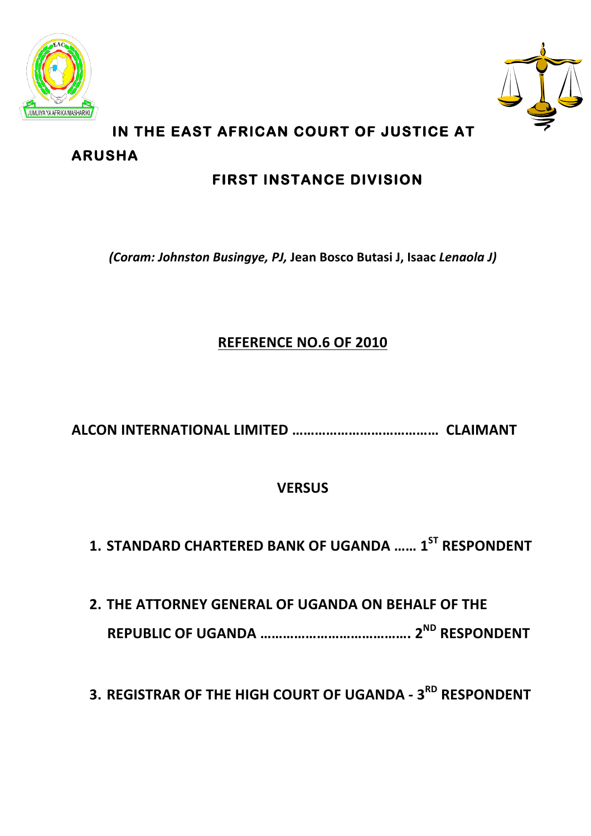



# **IN THE EAST AFRICAN COURT OF JUSTICE AT ARUSHA**

# **FIRST INSTANCE DIVISION**

*(Coram: Johnston Busingye, PJ,* **Jean Bosco Butasi J, Isaac** *Lenaola J)*

## **REFERENCE NO.6 OF 2010**

**ALCON INTERNATIONAL LIMITED …………………………………………… CLAIMANT** 

## **VERSUS**

**1. STANDARD CHARTERED BANK OF UGANDA …… 1ST RESPONDENT**

2. THE ATTORNEY GENERAL OF UGANDA ON BEHALF OF THE **REPUBLIC OF UGANDA …………………………………. 2ND RESPONDENT**

**3. REGISTRAR OF THE HIGH COURT OF UGANDA - 3RD RESPONDENT**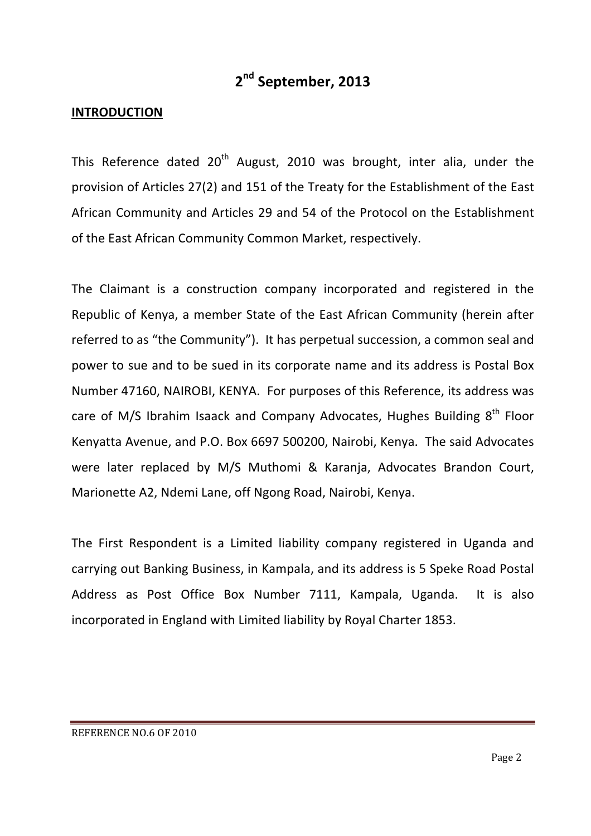## **2nd September, 2013**

#### **INTRODUCTION**

This Reference dated  $20<sup>th</sup>$  August, 2010 was brought, inter alia, under the provision of Articles 27(2) and 151 of the Treaty for the Establishment of the East African Community and Articles 29 and 54 of the Protocol on the Establishment of the East African Community Common Market, respectively.

The Claimant is a construction company incorporated and registered in the Republic of Kenya, a member State of the East African Community (herein after referred to as "the Community"). It has perpetual succession, a common seal and power to sue and to be sued in its corporate name and its address is Postal Box Number 47160, NAIROBI, KENYA. For purposes of this Reference, its address was care of M/S Ibrahim Isaack and Company Advocates, Hughes Building  $8<sup>th</sup>$  Floor Kenyatta Avenue, and P.O. Box 6697 500200, Nairobi, Kenya. The said Advocates were later replaced by M/S Muthomi & Karanja, Advocates Brandon Court, Marionette A2, Ndemi Lane, off Ngong Road, Nairobi, Kenya.

The First Respondent is a Limited liability company registered in Uganda and carrying out Banking Business, in Kampala, and its address is 5 Speke Road Postal Address as Post Office Box Number 7111, Kampala, Uganda. It is also incorporated in England with Limited liability by Royal Charter 1853.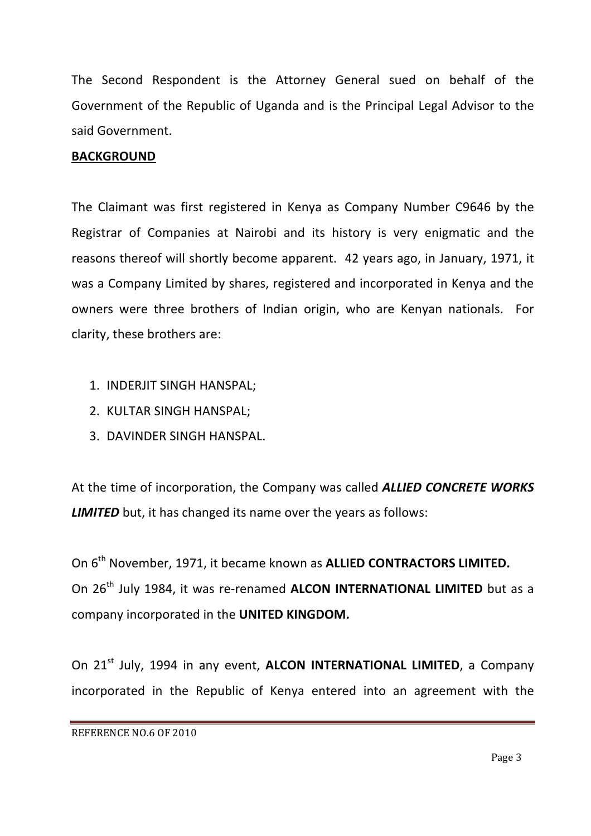The Second Respondent is the Attorney General sued on behalf of the Government of the Republic of Uganda and is the Principal Legal Advisor to the said Government.

#### **BACKGROUND**

The Claimant was first registered in Kenya as Company Number C9646 by the Registrar of Companies at Nairobi and its history is very enigmatic and the reasons thereof will shortly become apparent. 42 years ago, in January, 1971, it was a Company Limited by shares, registered and incorporated in Kenya and the owners were three brothers of Indian origin, who are Kenyan nationals. For clarity, these brothers are:

- 1. INDERJIT SINGH HANSPAL;
- 2. KULTAR SINGH HANSPAL:
- 3. DAVINDER SINGH HANSPAL.

At the time of incorporation, the Company was called **ALLIED CONCRETE WORKS LIMITED** but, it has changed its name over the years as follows:

On 6<sup>th</sup> November, 1971, it became known as **ALLIED CONTRACTORS LIMITED.** On 26<sup>th</sup> July 1984, it was re-renamed **ALCON INTERNATIONAL LIMITED** but as a company incorporated in the **UNITED KINGDOM.** 

On 21<sup>st</sup> July, 1994 in any event, **ALCON INTERNATIONAL LIMITED**, a Company incorporated in the Republic of Kenya entered into an agreement with the

REFERENCE NO.6 OF 2010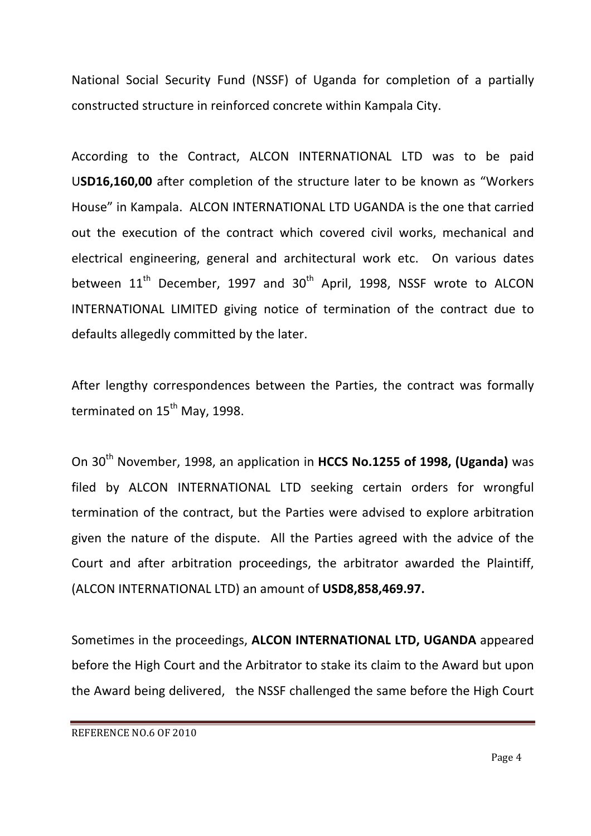National Social Security Fund (NSSF) of Uganda for completion of a partially constructed structure in reinforced concrete within Kampala City.

According to the Contract, ALCON INTERNATIONAL LTD was to be paid **USD16,160,00** after completion of the structure later to be known as "Workers" House" in Kampala. ALCON INTERNATIONAL LTD UGANDA is the one that carried out the execution of the contract which covered civil works, mechanical and electrical engineering, general and architectural work etc. On various dates between  $11<sup>th</sup>$  December, 1997 and  $30<sup>th</sup>$  April, 1998, NSSF wrote to ALCON INTERNATIONAL LIMITED giving notice of termination of the contract due to defaults allegedly committed by the later.

After lengthy correspondences between the Parties, the contract was formally terminated on 15<sup>th</sup> May, 1998.

On 30<sup>th</sup> November, 1998, an application in HCCS No.1255 of 1998, (Uganda) was filed by ALCON INTERNATIONAL LTD seeking certain orders for wrongful termination of the contract, but the Parties were advised to explore arbitration given the nature of the dispute. All the Parties agreed with the advice of the Court and after arbitration proceedings, the arbitrator awarded the Plaintiff, (ALCON INTERNATIONAL LTD) an amount of **USD8,858,469.97.** 

Sometimes in the proceedings, ALCON INTERNATIONAL LTD, UGANDA appeared before the High Court and the Arbitrator to stake its claim to the Award but upon the Award being delivered, the NSSF challenged the same before the High Court

REFERENCE NO.6 OF 2010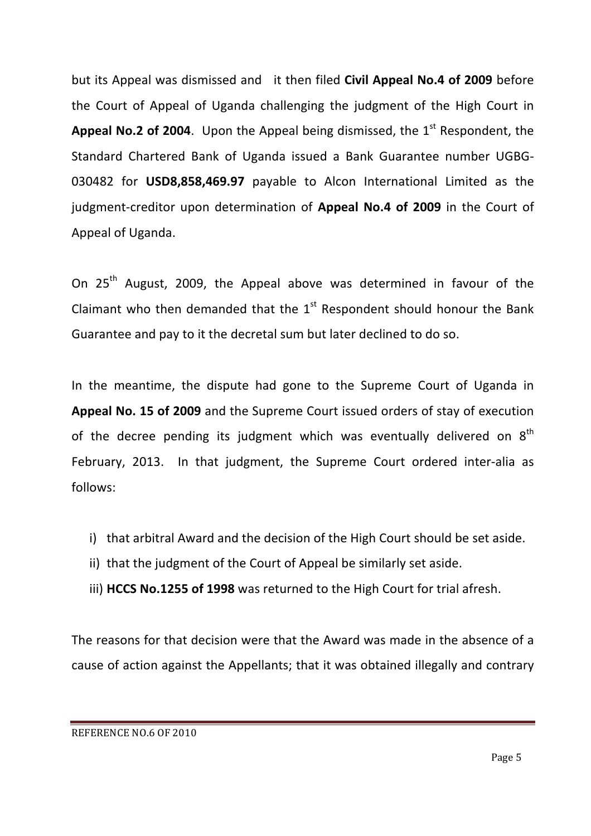but its Appeal was dismissed and it then filed Civil Appeal No.4 of 2009 before the Court of Appeal of Uganda challenging the judgment of the High Court in **Appeal No.2 of 2004.** Upon the Appeal being dismissed, the  $1<sup>st</sup>$  Respondent, the Standard Chartered Bank of Uganda issued a Bank Guarantee number UGBG-030482 for **USD8,858,469.97** payable to Alcon International Limited as the judgment-creditor upon determination of **Appeal No.4 of 2009** in the Court of Appeal of Uganda.

On 25<sup>th</sup> August, 2009, the Appeal above was determined in favour of the Claimant who then demanded that the  $1<sup>st</sup>$  Respondent should honour the Bank Guarantee and pay to it the decretal sum but later declined to do so.

In the meantime, the dispute had gone to the Supreme Court of Uganda in **Appeal No. 15 of 2009** and the Supreme Court issued orders of stay of execution of the decree pending its judgment which was eventually delivered on  $8^{th}$ February, 2013. In that judgment, the Supreme Court ordered inter-alia as follows:

- i) that arbitral Award and the decision of the High Court should be set aside.
- ii) that the judgment of the Court of Appeal be similarly set aside.
- iii) HCCS No.1255 of 1998 was returned to the High Court for trial afresh.

The reasons for that decision were that the Award was made in the absence of a cause of action against the Appellants; that it was obtained illegally and contrary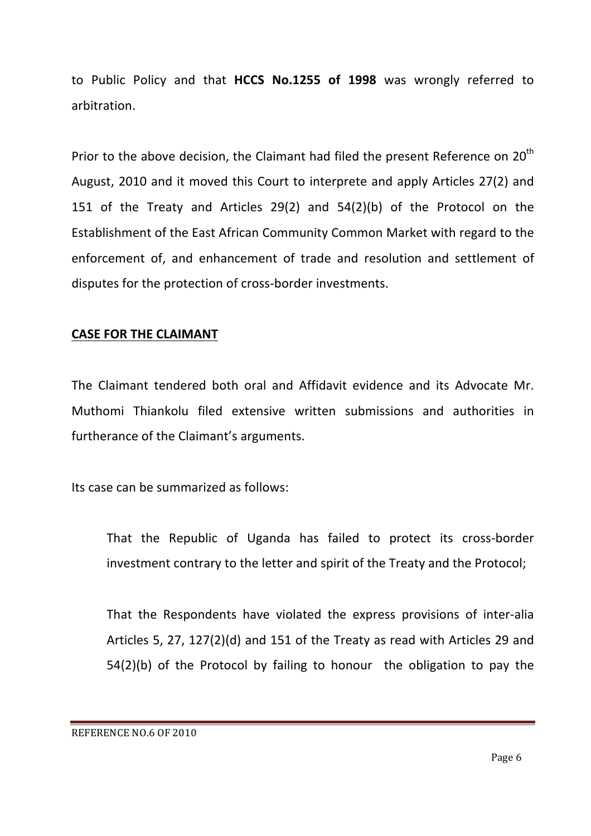to Public Policy and that HCCS No.1255 of 1998 was wrongly referred to arbitration.

Prior to the above decision, the Claimant had filed the present Reference on  $20^{th}$ August, 2010 and it moved this Court to interprete and apply Articles 27(2) and 151 of the Treaty and Articles  $29(2)$  and  $54(2)(b)$  of the Protocol on the Establishment of the East African Community Common Market with regard to the enforcement of, and enhancement of trade and resolution and settlement of disputes for the protection of cross-border investments.

#### **CASE FOR THE CLAIMANT**

The Claimant tendered both oral and Affidavit evidence and its Advocate Mr. Muthomi Thiankolu filed extensive written submissions and authorities in furtherance of the Claimant's arguments.

Its case can be summarized as follows:

That the Republic of Uganda has failed to protect its cross-border investment contrary to the letter and spirit of the Treaty and the Protocol;

That the Respondents have violated the express provisions of inter-alia Articles 5, 27, 127(2)(d) and 151 of the Treaty as read with Articles 29 and  $54(2)(b)$  of the Protocol by failing to honour the obligation to pay the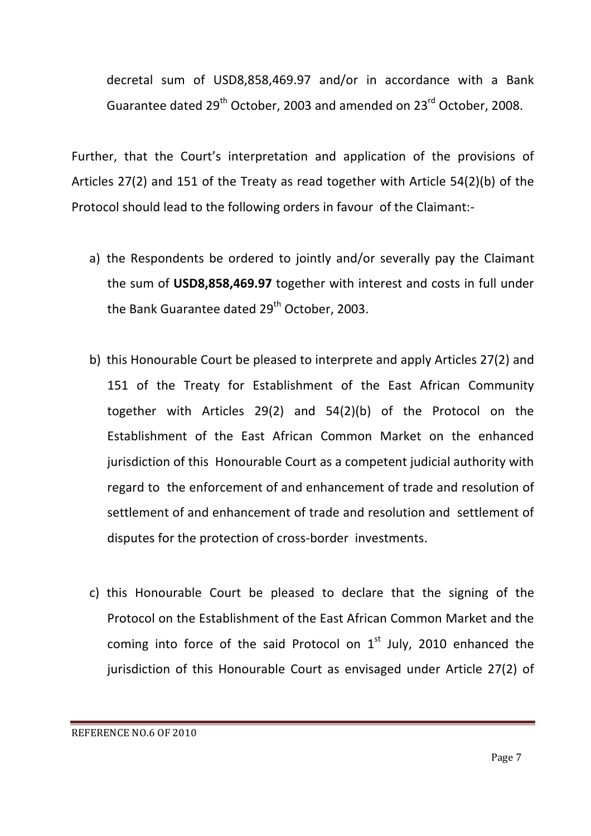decretal sum of USD8,858,469.97 and/or in accordance with a Bank Guarantee dated  $29^{th}$  October, 2003 and amended on  $23^{rd}$  October, 2008.

Further, that the Court's interpretation and application of the provisions of Articles  $27(2)$  and  $151$  of the Treaty as read together with Article  $54(2)(b)$  of the Protocol should lead to the following orders in favour of the Claimant:-

- a) the Respondents be ordered to jointly and/or severally pay the Claimant the sum of USD8,858,469.97 together with interest and costs in full under the Bank Guarantee dated 29<sup>th</sup> October, 2003.
- b) this Honourable Court be pleased to interprete and apply Articles 27(2) and 151 of the Treaty for Establishment of the East African Community together with Articles  $29(2)$  and  $54(2)(b)$  of the Protocol on the Establishment of the East African Common Market on the enhanced jurisdiction of this Honourable Court as a competent judicial authority with regard to the enforcement of and enhancement of trade and resolution of settlement of and enhancement of trade and resolution and settlement of disputes for the protection of cross-border investments.
- c) this Honourable Court be pleased to declare that the signing of the Protocol on the Establishment of the East African Common Market and the coming into force of the said Protocol on  $1<sup>st</sup>$  July, 2010 enhanced the jurisdiction of this Honourable Court as envisaged under Article 27(2) of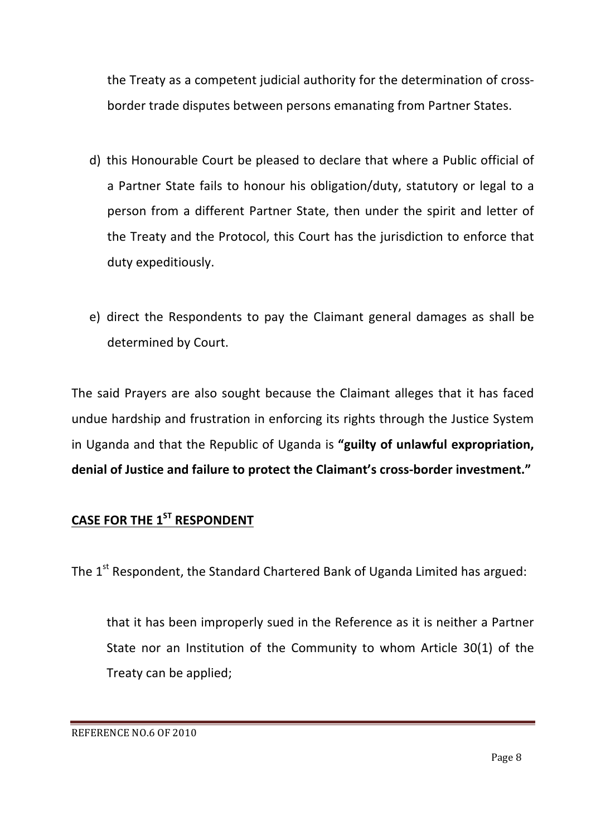the Treaty as a competent judicial authority for the determination of crossborder trade disputes between persons emanating from Partner States.

- d) this Honourable Court be pleased to declare that where a Public official of a Partner State fails to honour his obligation/duty, statutory or legal to a person from a different Partner State, then under the spirit and letter of the Treaty and the Protocol, this Court has the jurisdiction to enforce that duty expeditiously.
- e) direct the Respondents to pay the Claimant general damages as shall be determined by Court.

The said Prayers are also sought because the Claimant alleges that it has faced undue hardship and frustration in enforcing its rights through the Justice System in Uganda and that the Republic of Uganda is "guilty of unlawful expropriation, **denial of Justice and failure to protect the Claimant's cross-border investment."** 

# **CASE FOR THE 1ST RESPONDENT**

The 1<sup>st</sup> Respondent, the Standard Chartered Bank of Uganda Limited has argued:

that it has been improperly sued in the Reference as it is neither a Partner State nor an Institution of the Community to whom Article  $30(1)$  of the Treaty can be applied;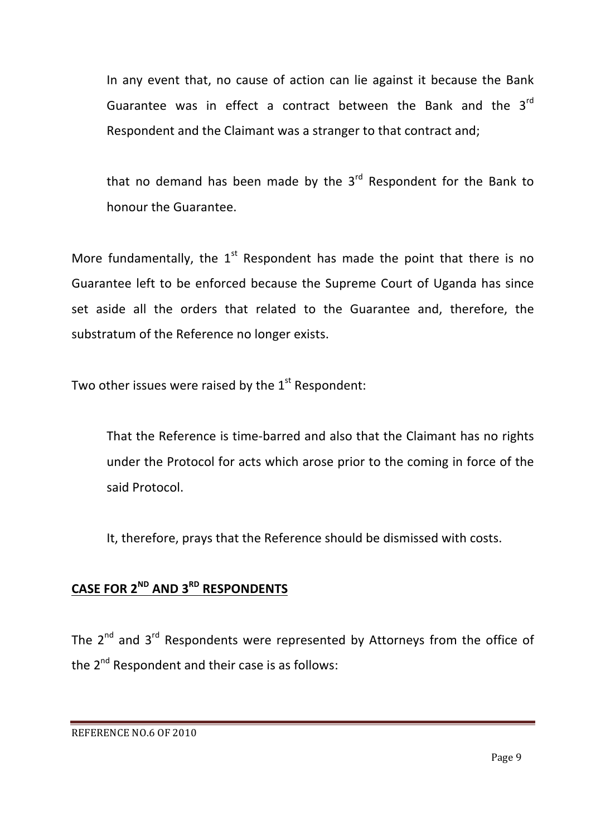In any event that, no cause of action can lie against it because the Bank Guarantee was in effect a contract between the Bank and the  $3^{rd}$ Respondent and the Claimant was a stranger to that contract and;

that no demand has been made by the  $3<sup>rd</sup>$  Respondent for the Bank to honour the Guarantee.

More fundamentally, the  $1^{st}$  Respondent has made the point that there is no Guarantee left to be enforced because the Supreme Court of Uganda has since set aside all the orders that related to the Guarantee and, therefore, the substratum of the Reference no longer exists.

Two other issues were raised by the  $1<sup>st</sup>$  Respondent:

That the Reference is time-barred and also that the Claimant has no rights under the Protocol for acts which arose prior to the coming in force of the said Protocol.

It, therefore, prays that the Reference should be dismissed with costs.

## **CASE FOR 2ND AND 3RD RESPONDENTS**

The  $2^{nd}$  and  $3^{rd}$  Respondents were represented by Attorneys from the office of the  $2^{nd}$  Respondent and their case is as follows: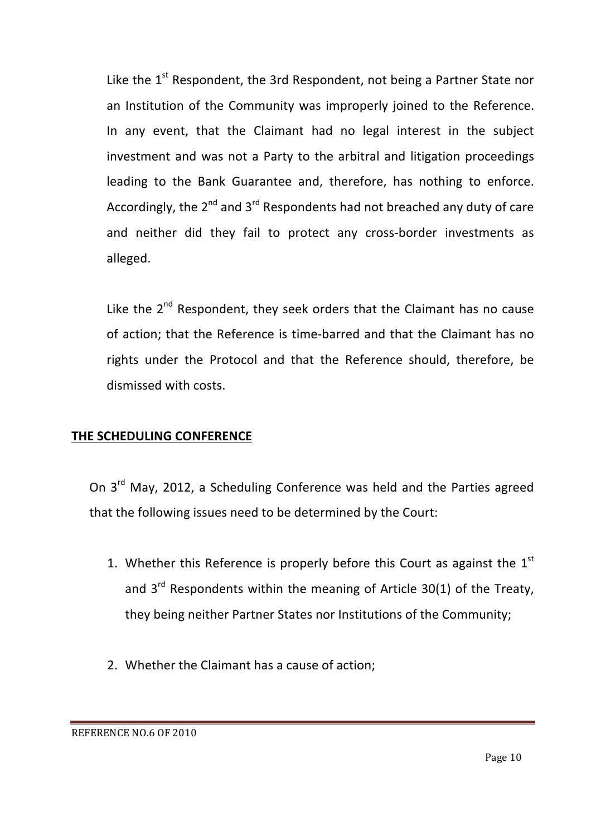Like the  $1^{st}$  Respondent, the 3rd Respondent, not being a Partner State nor an Institution of the Community was improperly joined to the Reference. In any event, that the Claimant had no legal interest in the subject investment and was not a Party to the arbitral and litigation proceedings leading to the Bank Guarantee and, therefore, has nothing to enforce. Accordingly, the  $2^{nd}$  and  $3^{rd}$  Respondents had not breached any duty of care and neither did they fail to protect any cross-border investments as alleged.

Like the  $2^{nd}$  Respondent, they seek orders that the Claimant has no cause of action; that the Reference is time-barred and that the Claimant has no rights under the Protocol and that the Reference should, therefore, be dismissed with costs.

### **THE SCHEDULING CONFERENCE**

On 3<sup>rd</sup> May, 2012, a Scheduling Conference was held and the Parties agreed that the following issues need to be determined by the Court:

- 1. Whether this Reference is properly before this Court as against the  $1<sup>st</sup>$ and  $3^{rd}$  Respondents within the meaning of Article 30(1) of the Treaty, they being neither Partner States nor Institutions of the Community:
- 2. Whether the Claimant has a cause of action;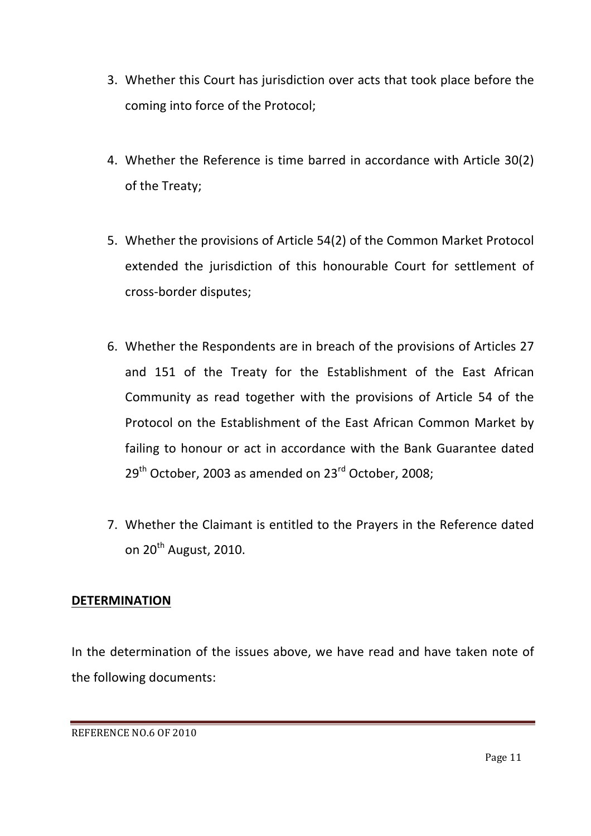- 3. Whether this Court has jurisdiction over acts that took place before the coming into force of the Protocol;
- 4. Whether the Reference is time barred in accordance with Article 30(2) of the Treaty;
- 5. Whether the provisions of Article 54(2) of the Common Market Protocol extended the jurisdiction of this honourable Court for settlement of cross-border disputes;
- 6. Whether the Respondents are in breach of the provisions of Articles 27 and 151 of the Treaty for the Establishment of the East African Community as read together with the provisions of Article 54 of the Protocol on the Establishment of the East African Common Market by failing to honour or act in accordance with the Bank Guarantee dated  $29<sup>th</sup>$  October, 2003 as amended on  $23<sup>rd</sup>$  October, 2008;
- 7. Whether the Claimant is entitled to the Prayers in the Reference dated on  $20^{th}$  August, 2010.

### **DETERMINATION**

In the determination of the issues above, we have read and have taken note of the following documents:

REFERENCE NO.6 OF 2010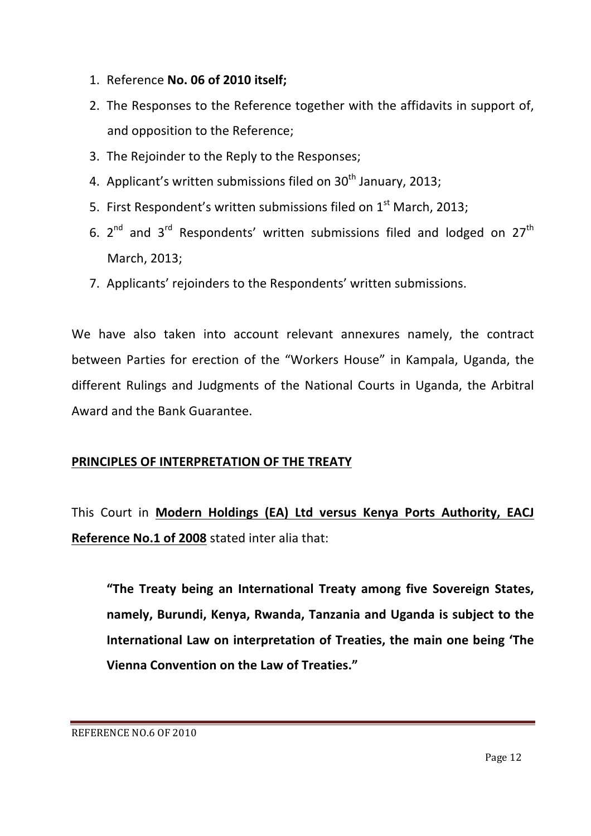- 1. Reference **No. 06 of 2010 itself;**
- 2. The Responses to the Reference together with the affidavits in support of, and opposition to the Reference;
- 3. The Rejoinder to the Reply to the Responses;
- 4. Applicant's written submissions filed on  $30<sup>th</sup>$  January, 2013;
- 5. First Respondent's written submissions filed on  $1<sup>st</sup>$  March, 2013;
- 6.  $2^{nd}$  and  $3^{rd}$  Respondents' written submissions filed and lodged on  $27^{th}$ March, 2013;
- 7. Applicants' rejoinders to the Respondents' written submissions.

We have also taken into account relevant annexures namely, the contract between Parties for erection of the "Workers House" in Kampala, Uganda, the different Rulings and Judgments of the National Courts in Uganda, the Arbitral Award and the Bank Guarantee.

#### **PRINCIPLES OF INTERPRETATION OF THE TREATY**

This Court in **Modern Holdings (EA) Ltd versus Kenya Ports Authority, EACJ Reference No.1 of 2008** stated inter alia that:

"The Treaty being an International Treaty among five Sovereign States, namely, Burundi, Kenya, Rwanda, Tanzania and Uganda is subject to the **International Law on interpretation of Treaties, the main one being 'The Vienna Convention on the Law of Treaties."**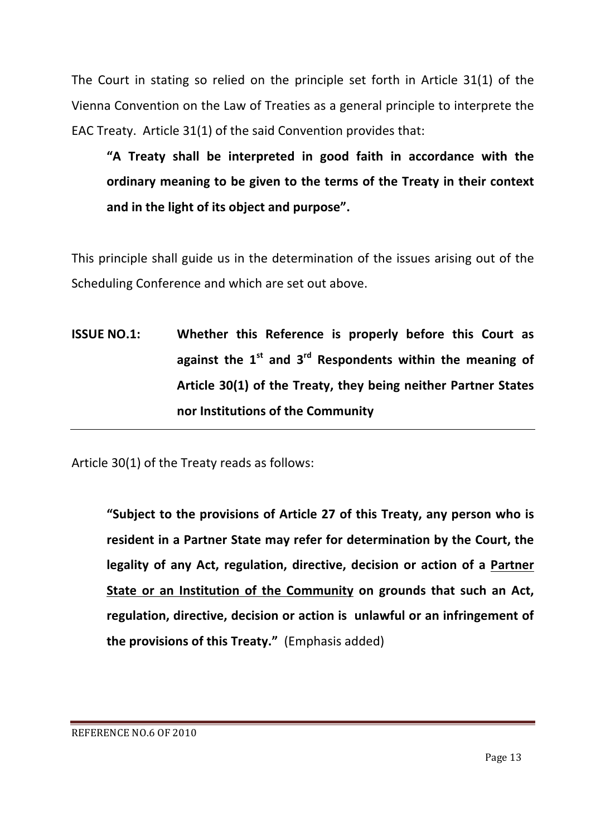The Court in stating so relied on the principle set forth in Article  $31(1)$  of the Vienna Convention on the Law of Treaties as a general principle to interprete the EAC Treaty. Article  $31(1)$  of the said Convention provides that:

**"A Treaty shall be interpreted in good faith in accordance with the**  ordinary meaning to be given to the terms of the Treaty in their context and in the light of its object and purpose".

This principle shall guide us in the determination of the issues arising out of the Scheduling Conference and which are set out above.

**ISSUE NO.1: Whether this Reference is properly before this Court as** against the  $1^{st}$  and  $3^{rd}$  Respondents within the meaning of Article 30(1) of the Treaty, they being neither Partner States **nor Institutions of the Community** 

Article  $30(1)$  of the Treaty reads as follows:

"Subject to the provisions of Article 27 of this Treaty, any person who is resident in a Partner State may refer for determination by the Court, the legality of any Act, regulation, directive, decision or action of a Partner **State or an Institution of the Community on grounds that such an Act,** regulation, directive, decision or action is unlawful or an infringement of **the provisions of this Treaty."** (Emphasis added)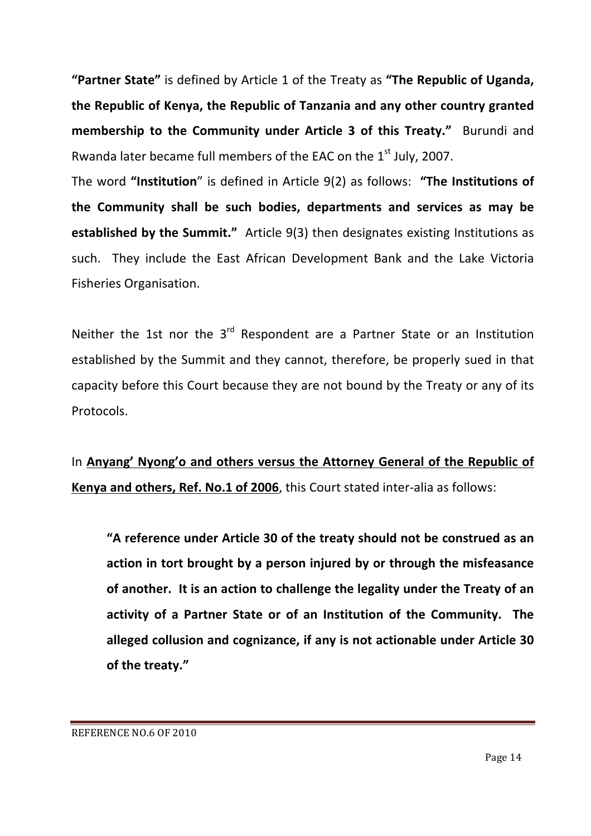"Partner State" is defined by Article 1 of the Treaty as "The Republic of Uganda, **the Republic of Kenya, the Republic of Tanzania and any other country granted membership to the Community under Article 3 of this Treaty."** Burundi and Rwanda later became full members of the EAC on the  $1<sup>st</sup>$  July, 2007.

The word "Institution" is defined in Article  $9(2)$  as follows: "The Institutions of the Community shall be such bodies, departments and services as may be **established by the Summit."** Article 9(3) then designates existing Institutions as such. They include the East African Development Bank and the Lake Victoria Fisheries Organisation.

Neither the 1st nor the  $3<sup>rd</sup>$  Respondent are a Partner State or an Institution established by the Summit and they cannot, therefore, be properly sued in that capacity before this Court because they are not bound by the Treaty or any of its Protocols.

In Anyang' Nyong'o and others versus the Attorney General of the Republic of **Kenya and others, Ref. No.1 of 2006**, this Court stated inter-alia as follows:

"A reference under Article 30 of the treaty should not be construed as an action in tort brought by a person injured by or through the misfeasance of another. It is an action to challenge the legality under the Treaty of an activity of a Partner State or of an Institution of the Community. The **alleged collusion and cognizance, if any is not actionable under Article 30** of the treaty."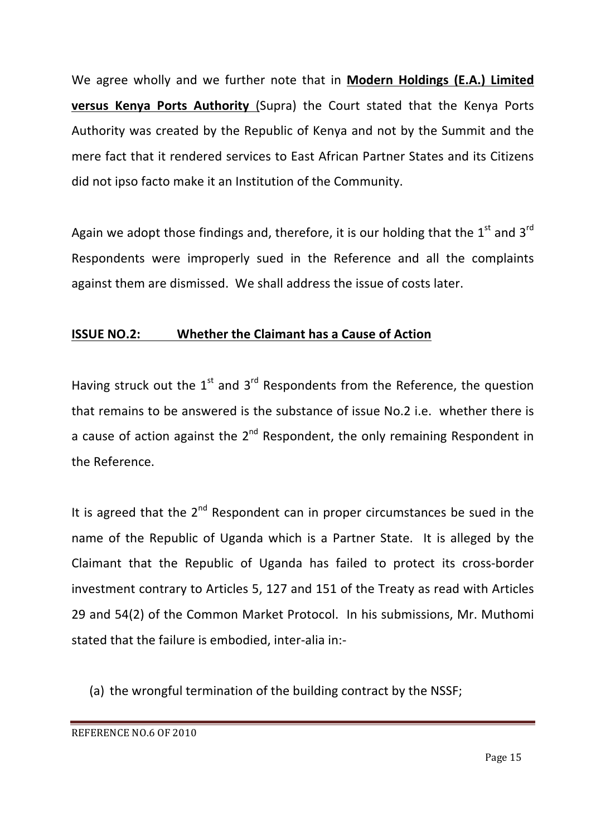We agree wholly and we further note that in **Modern Holdings (E.A.) Limited versus Kenya Ports Authority** (Supra) the Court stated that the Kenya Ports Authority was created by the Republic of Kenya and not by the Summit and the mere fact that it rendered services to East African Partner States and its Citizens did not ipso facto make it an Institution of the Community.

Again we adopt those findings and, therefore, it is our holding that the  $1^{st}$  and  $3^{rd}$ Respondents were improperly sued in the Reference and all the complaints against them are dismissed. We shall address the issue of costs later.

### **ISSUE NO.2:** Whether the Claimant has a Cause of Action

Having struck out the  $1^{st}$  and  $3^{rd}$  Respondents from the Reference, the question that remains to be answered is the substance of issue No.2 i.e. whether there is a cause of action against the  $2^{nd}$  Respondent, the only remaining Respondent in the Reference.

It is agreed that the  $2^{nd}$  Respondent can in proper circumstances be sued in the name of the Republic of Uganda which is a Partner State. It is alleged by the Claimant that the Republic of Uganda has failed to protect its cross-border investment contrary to Articles 5, 127 and 151 of the Treaty as read with Articles 29 and 54(2) of the Common Market Protocol. In his submissions, Mr. Muthomi stated that the failure is embodied, inter-alia in:-

(a) the wrongful termination of the building contract by the NSSF;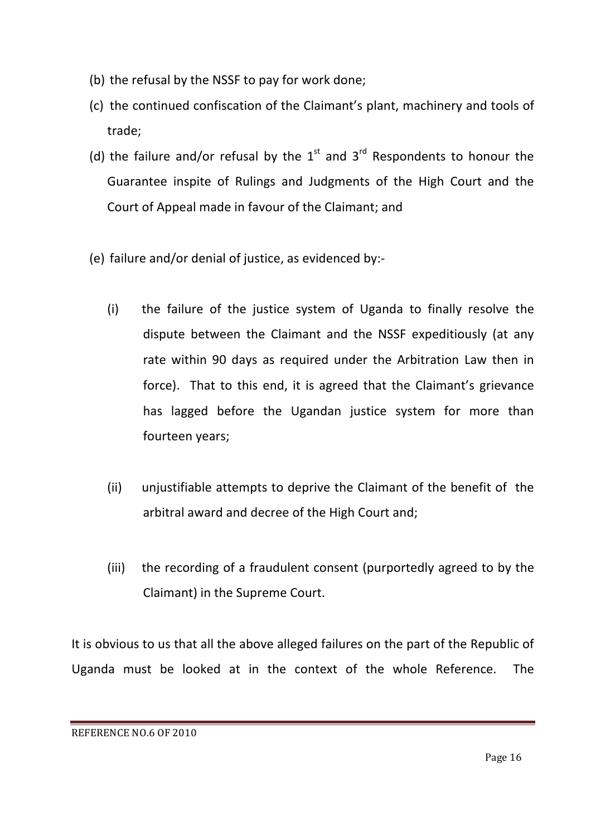- (b) the refusal by the NSSF to pay for work done;
- (c) the continued confiscation of the Claimant's plant, machinery and tools of trade;
- (d) the failure and/or refusal by the  $1<sup>st</sup>$  and  $3<sup>rd</sup>$  Respondents to honour the Guarantee inspite of Rulings and Judgments of the High Court and the Court of Appeal made in favour of the Claimant; and
- (e) failure and/or denial of justice, as evidenced by:-
	- $(i)$  the failure of the justice system of Uganda to finally resolve the dispute between the Claimant and the NSSF expeditiously (at any rate within 90 days as required under the Arbitration Law then in force). That to this end, it is agreed that the Claimant's grievance has lagged before the Ugandan justice system for more than fourteen years;
	- (ii) unjustifiable attempts to deprive the Claimant of the benefit of the arbitral award and decree of the High Court and;
	- (iii) the recording of a fraudulent consent (purportedly agreed to by the Claimant) in the Supreme Court.

It is obvious to us that all the above alleged failures on the part of the Republic of Uganda must be looked at in the context of the whole Reference. The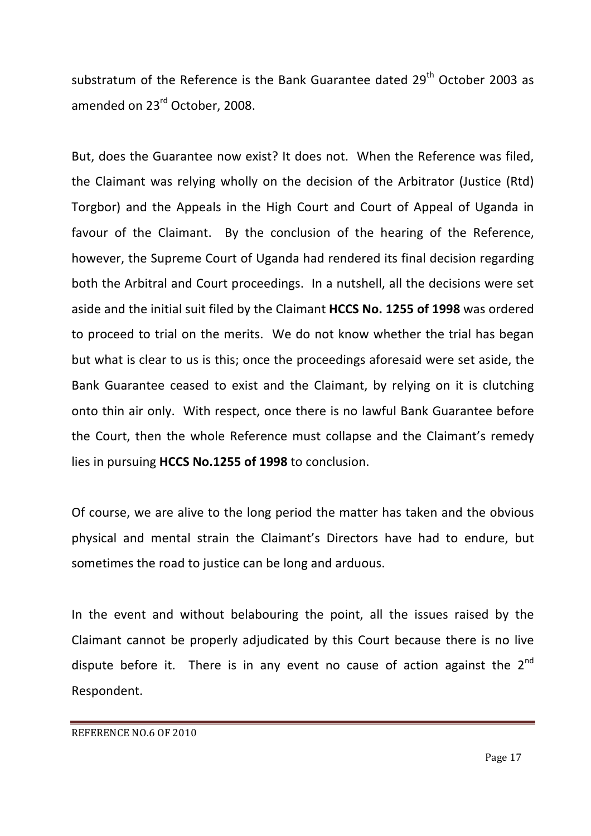substratum of the Reference is the Bank Guarantee dated 29<sup>th</sup> October 2003 as amended on 23<sup>rd</sup> October, 2008.

But, does the Guarantee now exist? It does not. When the Reference was filed, the Claimant was relying wholly on the decision of the Arbitrator (Justice (Rtd) Torgbor) and the Appeals in the High Court and Court of Appeal of Uganda in favour of the Claimant. By the conclusion of the hearing of the Reference, however, the Supreme Court of Uganda had rendered its final decision regarding both the Arbitral and Court proceedings. In a nutshell, all the decisions were set aside and the initial suit filed by the Claimant HCCS No. 1255 of 1998 was ordered to proceed to trial on the merits. We do not know whether the trial has began but what is clear to us is this; once the proceedings aforesaid were set aside, the Bank Guarantee ceased to exist and the Claimant, by relying on it is clutching onto thin air only. With respect, once there is no lawful Bank Guarantee before the Court, then the whole Reference must collapse and the Claimant's remedy lies in pursuing HCCS No.1255 of 1998 to conclusion.

Of course, we are alive to the long period the matter has taken and the obvious physical and mental strain the Claimant's Directors have had to endure, but sometimes the road to justice can be long and arduous.

In the event and without belabouring the point, all the issues raised by the Claimant cannot be properly adjudicated by this Court because there is no live dispute before it. There is in any event no cause of action against the  $2^{nd}$ Respondent.

REFERENCE NO.6 OF 2010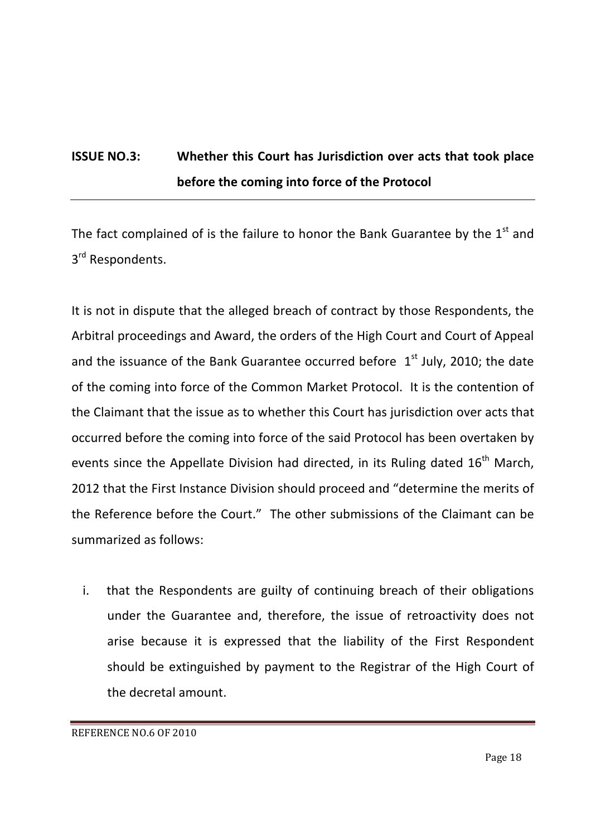# **ISSUE NO.3:** Whether this Court has Jurisdiction over acts that took place **before the coming into force of the Protocol**

The fact complained of is the failure to honor the Bank Guarantee by the  $1<sup>st</sup>$  and 3<sup>rd</sup> Respondents.

It is not in dispute that the alleged breach of contract by those Respondents, the Arbitral proceedings and Award, the orders of the High Court and Court of Appeal and the issuance of the Bank Guarantee occurred before  $1<sup>st</sup>$  July, 2010; the date of the coming into force of the Common Market Protocol. It is the contention of the Claimant that the issue as to whether this Court has jurisdiction over acts that occurred before the coming into force of the said Protocol has been overtaken by events since the Appellate Division had directed, in its Ruling dated 16<sup>th</sup> March, 2012 that the First Instance Division should proceed and "determine the merits of the Reference before the Court." The other submissions of the Claimant can be summarized as follows:

i. that the Respondents are guilty of continuing breach of their obligations under the Guarantee and, therefore, the issue of retroactivity does not arise because it is expressed that the liability of the First Respondent should be extinguished by payment to the Registrar of the High Court of the decretal amount.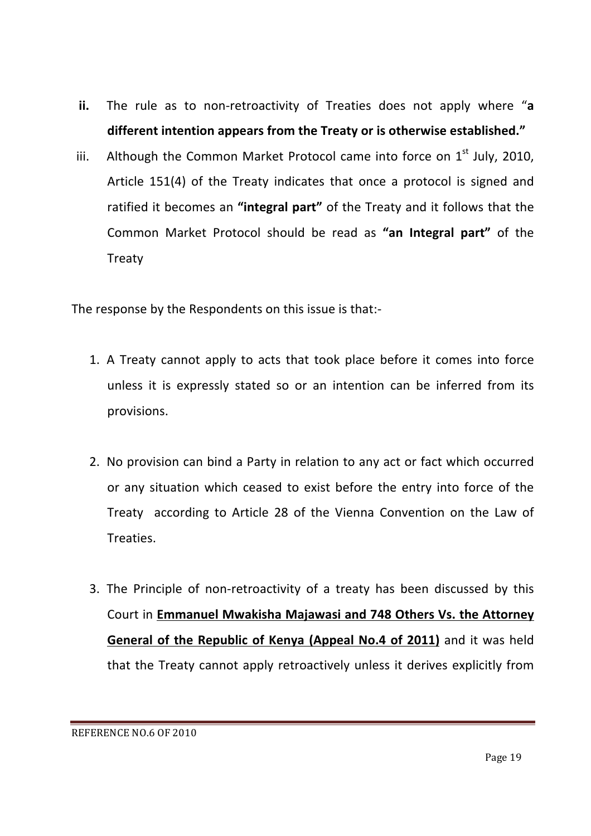- **ii.** The rule as to non-retroactivity of Treaties does not apply where "a different intention appears from the Treaty or is otherwise established."
- iii. Although the Common Market Protocol came into force on  $1^{st}$  July, 2010, Article 151(4) of the Treaty indicates that once a protocol is signed and ratified it becomes an "integral part" of the Treaty and it follows that the Common Market Protocol should be read as "an Integral part" of the Treaty

The response by the Respondents on this issue is that:-

- 1. A Treaty cannot apply to acts that took place before it comes into force unless it is expressly stated so or an intention can be inferred from its provisions.
- 2. No provision can bind a Party in relation to any act or fact which occurred or any situation which ceased to exist before the entry into force of the Treaty according to Article 28 of the Vienna Convention on the Law of Treaties.
- 3. The Principle of non-retroactivity of a treaty has been discussed by this Court in **Emmanuel Mwakisha Majawasi and 748 Others Vs. the Attorney General of the Republic of Kenya (Appeal No.4 of 2011)** and it was held that the Treaty cannot apply retroactively unless it derives explicitly from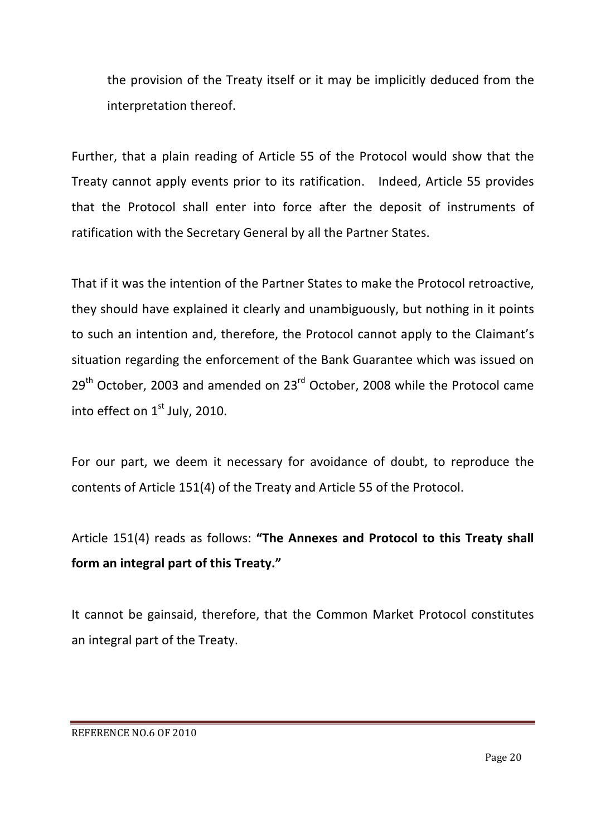the provision of the Treaty itself or it may be implicitly deduced from the interpretation thereof.

Further, that a plain reading of Article 55 of the Protocol would show that the Treaty cannot apply events prior to its ratification. Indeed, Article 55 provides that the Protocol shall enter into force after the deposit of instruments of ratification with the Secretary General by all the Partner States.

That if it was the intention of the Partner States to make the Protocol retroactive, they should have explained it clearly and unambiguously, but nothing in it points to such an intention and, therefore, the Protocol cannot apply to the Claimant's situation regarding the enforcement of the Bank Guarantee which was issued on  $29<sup>th</sup>$  October, 2003 and amended on 23 $<sup>rd</sup>$  October, 2008 while the Protocol came</sup> into effect on  $1<sup>st</sup>$  July, 2010.

For our part, we deem it necessary for avoidance of doubt, to reproduce the contents of Article 151(4) of the Treaty and Article 55 of the Protocol.

# Article 151(4) reads as follows: "The Annexes and Protocol to this Treaty shall form an integral part of this Treaty."

It cannot be gainsaid, therefore, that the Common Market Protocol constitutes an integral part of the Treaty.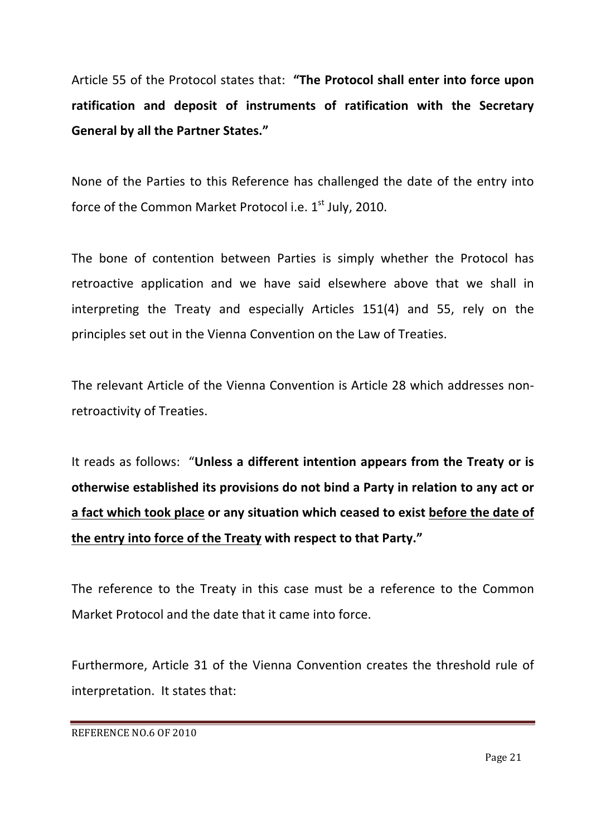Article 55 of the Protocol states that: "The Protocol shall enter into force upon ratification and deposit of instruments of ratification with the Secretary **General by all the Partner States."** 

None of the Parties to this Reference has challenged the date of the entry into force of the Common Market Protocol i.e.  $1<sup>st</sup>$  July, 2010.

The bone of contention between Parties is simply whether the Protocol has retroactive application and we have said elsewhere above that we shall in interpreting the Treaty and especially Articles 151(4) and 55, rely on the principles set out in the Vienna Convention on the Law of Treaties.

The relevant Article of the Vienna Convention is Article 28 which addresses nonretroactivity of Treaties.

It reads as follows: "Unless a different intention appears from the Treaty or is otherwise established its provisions do not bind a Party in relation to any act or a fact which took place or any situation which ceased to exist before the date of the entry into force of the Treaty with respect to that Party."

The reference to the Treaty in this case must be a reference to the Common Market Protocol and the date that it came into force.

Furthermore, Article 31 of the Vienna Convention creates the threshold rule of interpretation. It states that:

REFERENCE NO.6 OF 2010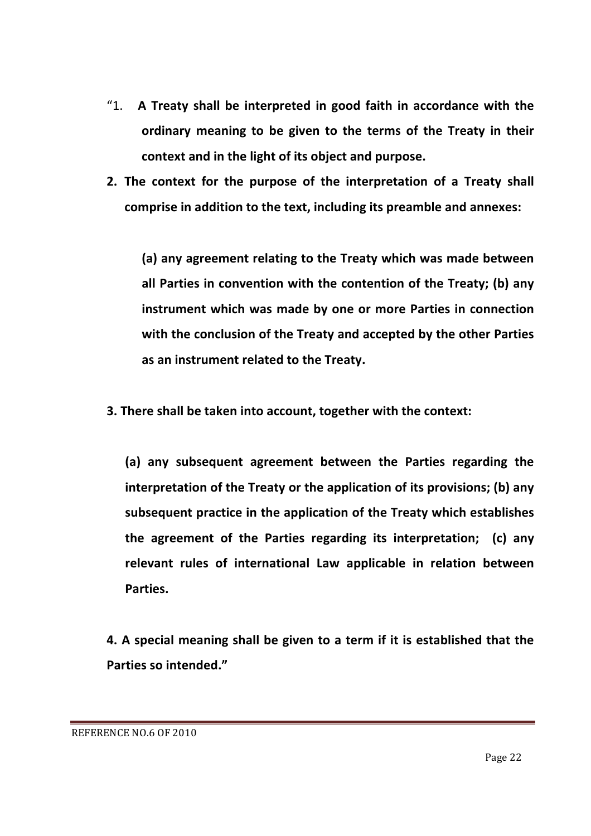- "1. A Treaty shall be interpreted in good faith in accordance with the ordinary meaning to be given to the terms of the Treaty in their context and in the light of its object and purpose.
- **2.** The context for the purpose of the interpretation of a Treaty shall comprise in addition to the text, including its preamble and annexes:

(a) any agreement relating to the Treaty which was made between all Parties in convention with the contention of the Treaty; (b) any **instrument which was made by one or more Parties in connection** with the conclusion of the Treaty and accepted by the other Parties as an instrument related to the Treaty.

**3.** There shall be taken into account, together with the context:

(a) any subsequent agreement between the Parties regarding the interpretation of the Treaty or the application of its provisions; (b) any subsequent practice in the application of the Treaty which establishes the agreement of the Parties regarding its interpretation; (c) any relevant rules of international Law applicable in relation between **Parties.**

**4.** A special meaning shall be given to a term if it is established that the **Parties so intended."**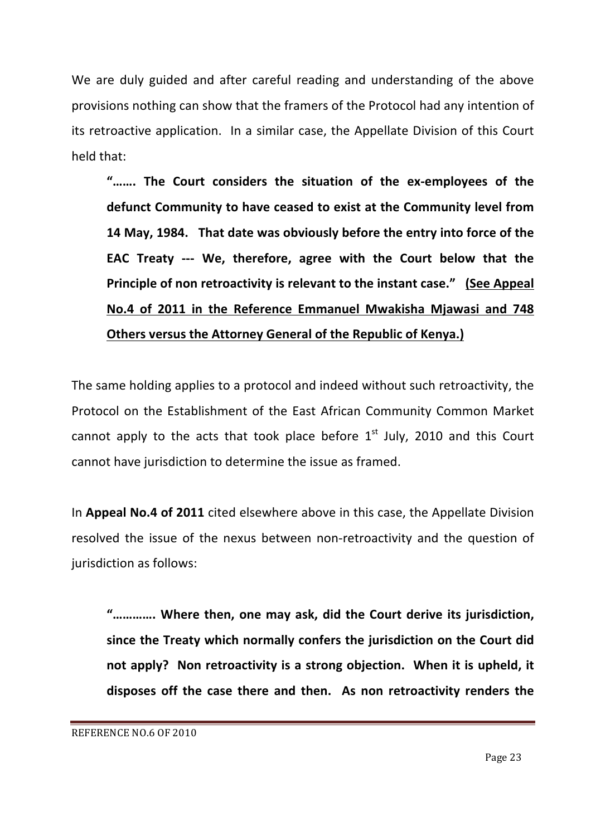We are duly guided and after careful reading and understanding of the above provisions nothing can show that the framers of the Protocol had any intention of its retroactive application. In a similar case, the Appellate Division of this Court held that:

"....... The Court considers the situation of the ex-employees of the defunct Community to have ceased to exist at the Community level from **14 May, 1984.** That date was obviously before the entry into force of the **EAC** Treaty --- We, therefore, agree with the Court below that the **Principle of non retroactivity is relevant to the instant case."** (See Appeal **No.4 of 2011 in the Reference Emmanuel Mwakisha Mjawasi and 748 Others versus the Attorney General of the Republic of Kenya.)** 

The same holding applies to a protocol and indeed without such retroactivity, the Protocol on the Establishment of the East African Community Common Market cannot apply to the acts that took place before  $1<sup>st</sup>$  July, 2010 and this Court cannot have jurisdiction to determine the issue as framed.

In **Appeal No.4 of 2011** cited elsewhere above in this case, the Appellate Division resolved the issue of the nexus between non-retroactivity and the question of jurisdiction as follows:

".............. Where then, one may ask, did the Court derive its jurisdiction, since the Treaty which normally confers the jurisdiction on the Court did not apply? Non retroactivity is a strong objection. When it is upheld, it disposes off the case there and then. As non retroactivity renders the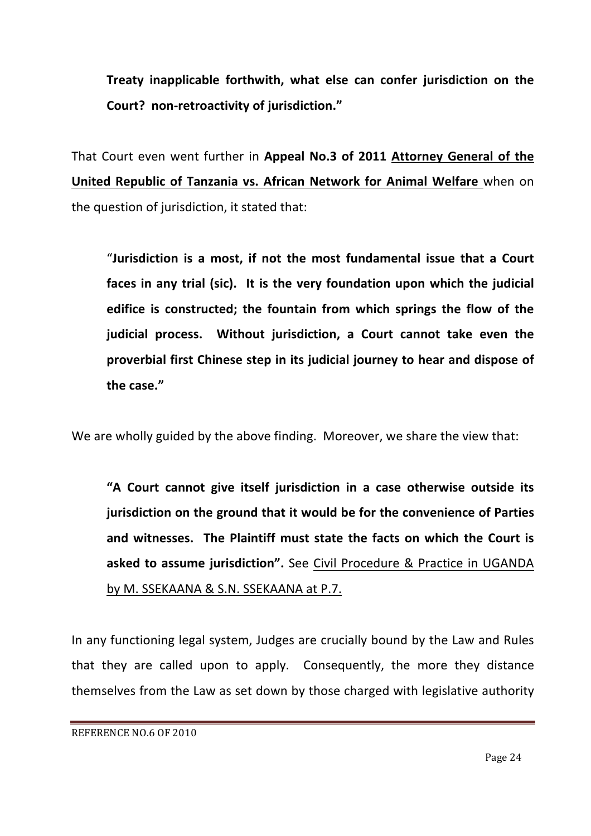Treaty inapplicable forthwith, what else can confer jurisdiction on the **Court? non-retroactivity of jurisdiction."** 

That Court even went further in **Appeal No.3 of 2011 Attorney General of the United Republic of Tanzania vs. African Network for Animal Welfare** when on the question of jurisdiction, it stated that:

"Jurisdiction is a most, if not the most fundamental issue that a Court faces in any trial (sic). It is the very foundation upon which the judicial **edifice is constructed; the fountain from which springs the flow of the** judicial process. Without jurisdiction, a Court cannot take even the proverbial first Chinese step in its judicial journey to hear and dispose of **the case."**

We are wholly guided by the above finding. Moreover, we share the view that:

"A Court cannot give itself jurisdiction in a case otherwise outside its **jurisdiction on the ground that it would be for the convenience of Parties** and witnesses. The Plaintiff must state the facts on which the Court is asked to assume jurisdiction". See Civil Procedure & Practice in UGANDA by M. SSEKAANA & S.N. SSEKAANA at P.7.

In any functioning legal system, Judges are crucially bound by the Law and Rules that they are called upon to apply. Consequently, the more they distance themselves from the Law as set down by those charged with legislative authority

REFERENCE NO.6 OF 2010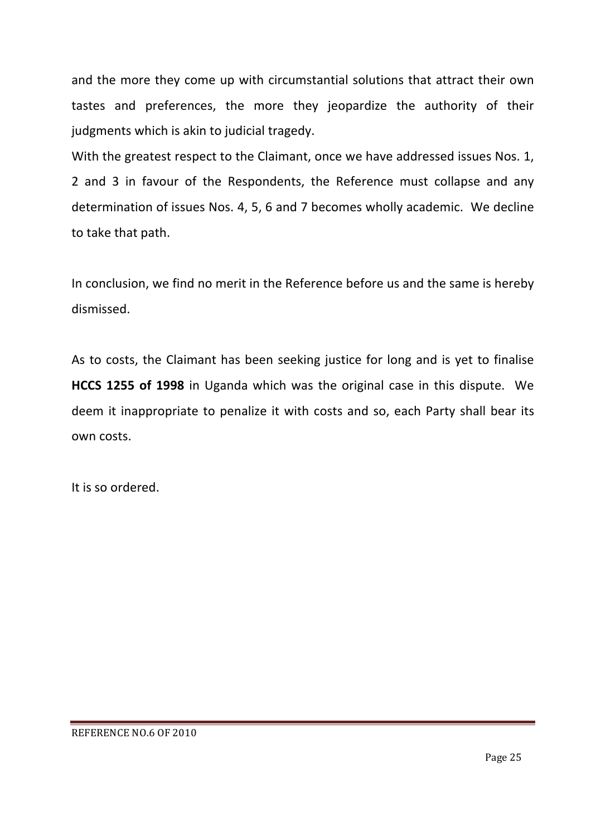and the more they come up with circumstantial solutions that attract their own tastes and preferences, the more they jeopardize the authority of their judgments which is akin to judicial tragedy.

With the greatest respect to the Claimant, once we have addressed issues Nos. 1, 2 and 3 in favour of the Respondents, the Reference must collapse and any determination of issues Nos. 4, 5, 6 and 7 becomes wholly academic. We decline to take that path.

In conclusion, we find no merit in the Reference before us and the same is hereby dismissed.

As to costs, the Claimant has been seeking justice for long and is yet to finalise **HCCS 1255 of 1998** in Uganda which was the original case in this dispute. We deem it inappropriate to penalize it with costs and so, each Party shall bear its own costs.

It is so ordered.